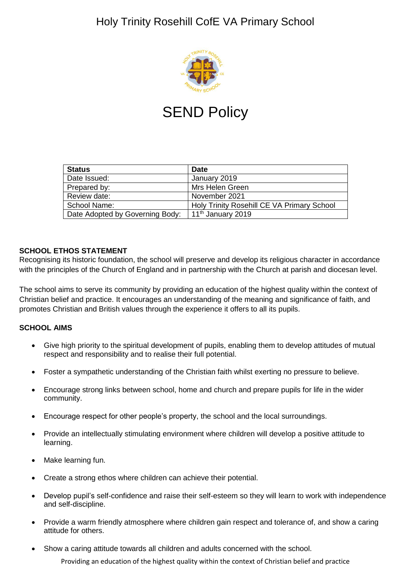# Holy Trinity Rosehill CofE VA Primary School



# **SEND Policy**

| <b>Status</b>                   | <b>Date</b>                                |
|---------------------------------|--------------------------------------------|
| Date Issued:                    | January 2019                               |
| Prepared by:                    | Mrs Helen Green                            |
| Review date:                    | November 2021                              |
| School Name:                    | Holy Trinity Rosehill CE VA Primary School |
| Date Adopted by Governing Body: | 11 <sup>th</sup> January 2019              |

#### **SCHOOL ETHOS STATEMENT**

Recognising its historic foundation, the school will preserve and develop its religious character in accordance with the principles of the Church of England and in partnership with the Church at parish and diocesan level.

The school aims to serve its community by providing an education of the highest quality within the context of Christian belief and practice. It encourages an understanding of the meaning and significance of faith, and promotes Christian and British values through the experience it offers to all its pupils.

#### **SCHOOL AIMS**

- Give high priority to the spiritual development of pupils, enabling them to develop attitudes of mutual respect and responsibility and to realise their full potential.
- Foster a sympathetic understanding of the Christian faith whilst exerting no pressure to believe.
- Encourage strong links between school, home and church and prepare pupils for life in the wider community.
- Encourage respect for other people's property, the school and the local surroundings.
- Provide an intellectually stimulating environment where children will develop a positive attitude to learning.
- Make learning fun.
- Create a strong ethos where children can achieve their potential.
- Develop pupil's self-confidence and raise their self-esteem so they will learn to work with independence and self-discipline.
- Provide a warm friendly atmosphere where children gain respect and tolerance of, and show a caring attitude for others.
- Show a caring attitude towards all children and adults concerned with the school.

Providing an education of the highest quality within the context of Christian belief and practice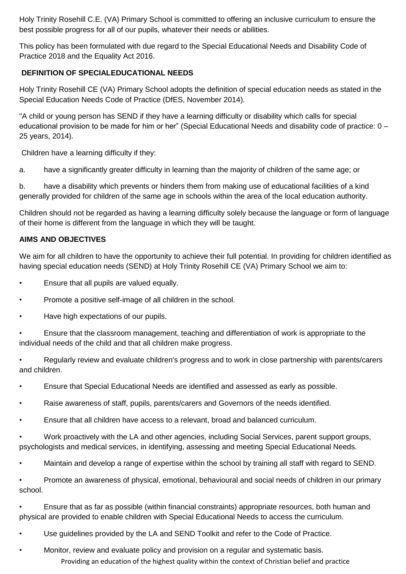Holy Trinity Rosehill C.E. (VA) Primary School is committed to offering an inclusive curriculum to ensure the best possible progress for all of our pupils, whatever their needs or abilities.

This policy has been formulated with due regard to the Special Educational Needs and Disability Code of Practice 2018 and the Equality Act 2016.

# **DEFINITION OF SPECIALEDUCATIONAL NEEDS**

Holy Trinity Rosehill CE (VA) Primary School adopts the definition of special education needs as stated in the Special Education Needs Code of Practice (DfES, November 2014).

"A child or young person has SEND if they have a learning difficulty or disability which calls for special educational provision to be made for him or her" (Special Educational Needs and disability code of practice: 0 – 25 years, 2014).

Children have a learning difficulty if they:

a. have a significantly greater difficulty in learning than the majority of children of the same age; or

b. have a disability which prevents or hinders them from making use of educational facilities of a kind generally provided for children of the same age in schools within the area of the local education authority.

Children should not be regarded as having a learning difficulty solely because the language or form of language of their home is different from the language in which they will be taught.

# **AIMS AND OBJECTIVES**

We aim for all children to have the opportunity to achieve their full potential. In providing for children identified as having special education needs (SEND) at Holy Trinity Rosehill CE (VA) Primary School we aim to:

- Ensure that all pupils are valued equally.
- Promote a positive self-image of all children in the school.
- Have high expectations of our pupils.
- Ensure that the classroom management, teaching and differentiation of work is appropriate to the individual needs of the child and that all children make progress.
- Regularly review and evaluate children's progress and to work in close partnership with parents/carers and children.
- Ensure that Special Educational Needs are identified and assessed as early as possible.
- Raise awareness of staff, pupils, parents/carers and Governors of the needs identified.
- Ensure that all children have access to a relevant, broad and balanced curriculum.

• Work proactively with the LA and other agencies, including Social Services, parent support groups, psychologists and medical services, in identifying, assessing and meeting Special Educational Needs.

• Maintain and develop a range of expertise within the school by training all staff with regard to SEND.

• Promote an awareness of physical, emotional, behavioural and social needs of children in our primary school.

• Ensure that as far as possible (within financial constraints) appropriate resources, both human and physical are provided to enable children with Special Educational Needs to access the curriculum.

• Use guidelines provided by the LA and SEND Toolkit and refer to the Code of Practice.

Providing an education of the highest quality within the context of Christian belief and practice • Monitor, review and evaluate policy and provision on a regular and systematic basis.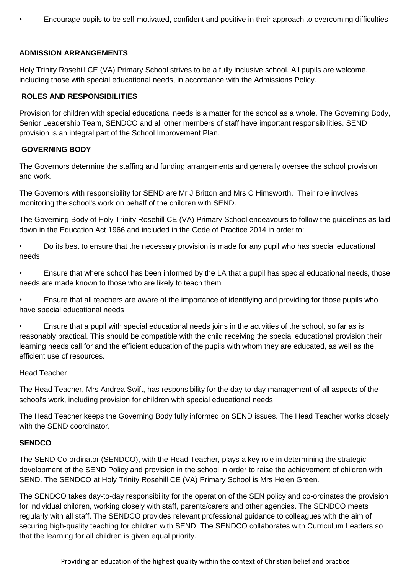• Encourage pupils to be self-motivated, confident and positive in their approach to overcoming difficulties

#### **ADMISSION ARRANGEMENTS**

Holy Trinity Rosehill CE (VA) Primary School strives to be a fully inclusive school. All pupils are welcome, including those with special educational needs, in accordance with the Admissions Policy.

#### **ROLES AND RESPONSIBILITIES**

Provision for children with special educational needs is a matter for the school as a whole. The Governing Body, Senior Leadership Team, SENDCO and all other members of staff have important responsibilities. SEND provision is an integral part of the School Improvement Plan.

#### **GOVERNING BODY**

The Governors determine the staffing and funding arrangements and generally oversee the school provision and work.

The Governors with responsibility for SEND are Mr J Britton and Mrs C Himsworth. Their role involves monitoring the school's work on behalf of the children with SEND.

The Governing Body of Holy Trinity Rosehill CE (VA) Primary School endeavours to follow the guidelines as laid down in the Education Act 1966 and included in the Code of Practice 2014 in order to:

• Do its best to ensure that the necessary provision is made for any pupil who has special educational needs

• Ensure that where school has been informed by the LA that a pupil has special educational needs, those needs are made known to those who are likely to teach them

• Ensure that all teachers are aware of the importance of identifying and providing for those pupils who have special educational needs

• Ensure that a pupil with special educational needs joins in the activities of the school, so far as is reasonably practical. This should be compatible with the child receiving the special educational provision their learning needs call for and the efficient education of the pupils with whom they are educated, as well as the efficient use of resources.

#### Head Teacher

The Head Teacher, Mrs Andrea Swift, has responsibility for the day-to-day management of all aspects of the school's work, including provision for children with special educational needs.

The Head Teacher keeps the Governing Body fully informed on SEND issues. The Head Teacher works closely with the SEND coordinator.

#### **SENDCO**

The SEND Co-ordinator (SENDCO), with the Head Teacher, plays a key role in determining the strategic development of the SEND Policy and provision in the school in order to raise the achievement of children with SEND. The SENDCO at Holy Trinity Rosehill CE (VA) Primary School is Mrs Helen Green.

The SENDCO takes day-to-day responsibility for the operation of the SEN policy and co-ordinates the provision for individual children, working closely with staff, parents/carers and other agencies. The SENDCO meets regularly with all staff. The SENDCO provides relevant professional guidance to colleagues with the aim of securing high-quality teaching for children with SEND. The SENDCO collaborates with Curriculum Leaders so that the learning for all children is given equal priority.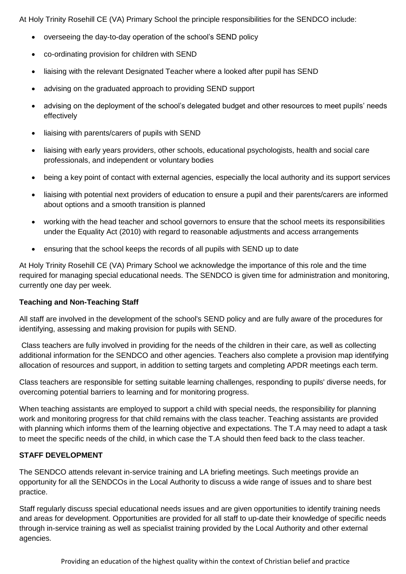At Holy Trinity Rosehill CE (VA) Primary School the principle responsibilities for the SENDCO include:

- overseeing the day-to-day operation of the school's SEND policy
- co-ordinating provision for children with SEND
- liaising with the relevant Designated Teacher where a looked after pupil has SEND
- advising on the graduated approach to providing SEND support
- advising on the deployment of the school's delegated budget and other resources to meet pupils' needs effectively
- liaising with parents/carers of pupils with SEND
- liaising with early years providers, other schools, educational psychologists, health and social care professionals, and independent or voluntary bodies
- being a key point of contact with external agencies, especially the local authority and its support services
- liaising with potential next providers of education to ensure a pupil and their parents/carers are informed about options and a smooth transition is planned
- working with the head teacher and school governors to ensure that the school meets its responsibilities under the Equality Act (2010) with regard to reasonable adjustments and access arrangements
- ensuring that the school keeps the records of all pupils with SEND up to date

At Holy Trinity Rosehill CE (VA) Primary School we acknowledge the importance of this role and the time required for managing special educational needs. The SENDCO is given time for administration and monitoring, currently one day per week.

#### **Teaching and Non-Teaching Staff**

All staff are involved in the development of the school's SEND policy and are fully aware of the procedures for identifying, assessing and making provision for pupils with SEND.

Class teachers are fully involved in providing for the needs of the children in their care, as well as collecting additional information for the SENDCO and other agencies. Teachers also complete a provision map identifying allocation of resources and support, in addition to setting targets and completing APDR meetings each term.

Class teachers are responsible for setting suitable learning challenges, responding to pupils' diverse needs, for overcoming potential barriers to learning and for monitoring progress.

When teaching assistants are employed to support a child with special needs, the responsibility for planning work and monitoring progress for that child remains with the class teacher. Teaching assistants are provided with planning which informs them of the learning objective and expectations. The T.A may need to adapt a task to meet the specific needs of the child, in which case the T.A should then feed back to the class teacher.

#### **STAFF DEVELOPMENT**

The SENDCO attends relevant in-service training and LA briefing meetings. Such meetings provide an opportunity for all the SENDCOs in the Local Authority to discuss a wide range of issues and to share best practice.

Staff regularly discuss special educational needs issues and are given opportunities to identify training needs and areas for development. Opportunities are provided for all staff to up-date their knowledge of specific needs through in-service training as well as specialist training provided by the Local Authority and other external agencies.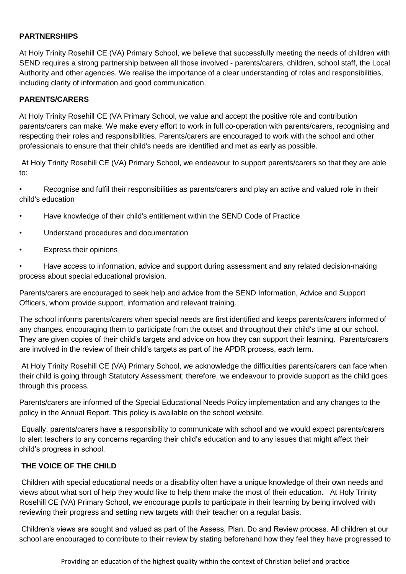#### **PARTNERSHIPS**

At Holy Trinity Rosehill CE (VA) Primary School, we believe that successfully meeting the needs of children with SEND requires a strong partnership between all those involved - parents/carers, children, school staff, the Local Authority and other agencies. We realise the importance of a clear understanding of roles and responsibilities, including clarity of information and good communication.

#### **PARENTS/CARERS**

At Holy Trinity Rosehill CE (VA Primary School, we value and accept the positive role and contribution parents/carers can make. We make every effort to work in full co-operation with parents/carers, recognising and respecting their roles and responsibilities. Parents/carers are encouraged to work with the school and other professionals to ensure that their child's needs are identified and met as early as possible.

At Holy Trinity Rosehill CE (VA) Primary School, we endeavour to support parents/carers so that they are able to:

Recognise and fulfil their responsibilities as parents/carers and play an active and valued role in their child's education

- Have knowledge of their child's entitlement within the SEND Code of Practice
- Understand procedures and documentation
- Express their opinions

• Have access to information, advice and support during assessment and any related decision-making process about special educational provision.

Parents/carers are encouraged to seek help and advice from the SEND Information, Advice and Support Officers, whom provide support, information and relevant training.

The school informs parents/carers when special needs are first identified and keeps parents/carers informed of any changes, encouraging them to participate from the outset and throughout their child's time at our school. They are given copies of their child's targets and advice on how they can support their learning. Parents/carers are involved in the review of their child's targets as part of the APDR process, each term.

At Holy Trinity Rosehill CE (VA) Primary School, we acknowledge the difficulties parents/carers can face when their child is going through Statutory Assessment; therefore, we endeavour to provide support as the child goes through this process.

Parents/carers are informed of the Special Educational Needs Policy implementation and any changes to the policy in the Annual Report. This policy is available on the school website.

Equally, parents/carers have a responsibility to communicate with school and we would expect parents/carers to alert teachers to any concerns regarding their child's education and to any issues that might affect their child's progress in school.

#### **THE VOICE OF THE CHILD**

Children with special educational needs or a disability often have a unique knowledge of their own needs and views about what sort of help they would like to help them make the most of their education. At Holy Trinity Rosehill CE (VA) Primary School, we encourage pupils to participate in their learning by being involved with reviewing their progress and setting new targets with their teacher on a regular basis.

Children's views are sought and valued as part of the Assess, Plan, Do and Review process. All children at our school are encouraged to contribute to their review by stating beforehand how they feel they have progressed to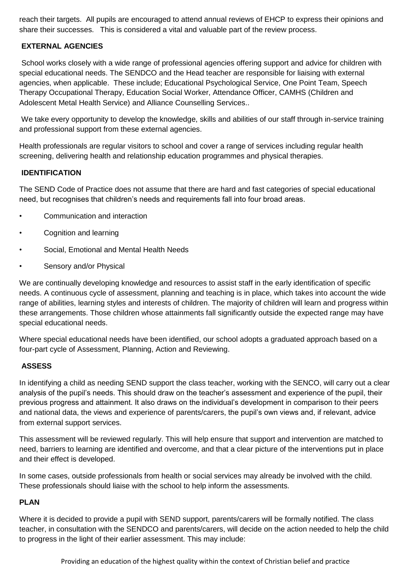reach their targets. All pupils are encouraged to attend annual reviews of EHCP to express their opinions and share their successes. This is considered a vital and valuable part of the review process.

#### **EXTERNAL AGENCIES**

School works closely with a wide range of professional agencies offering support and advice for children with special educational needs. The SENDCO and the Head teacher are responsible for liaising with external agencies, when applicable. These include; Educational Psychological Service, One Point Team, Speech Therapy Occupational Therapy, Education Social Worker, Attendance Officer, CAMHS (Children and Adolescent Metal Health Service) and Alliance Counselling Services..

We take every opportunity to develop the knowledge, skills and abilities of our staff through in-service training and professional support from these external agencies.

Health professionals are regular visitors to school and cover a range of services including regular health screening, delivering health and relationship education programmes and physical therapies.

#### **IDENTIFICATION**

The SEND Code of Practice does not assume that there are hard and fast categories of special educational need, but recognises that children's needs and requirements fall into four broad areas.

- Communication and interaction
- Cognition and learning
- Social, Emotional and Mental Health Needs
- Sensory and/or Physical

We are continually developing knowledge and resources to assist staff in the early identification of specific needs. A continuous cycle of assessment, planning and teaching is in place, which takes into account the wide range of abilities, learning styles and interests of children. The majority of children will learn and progress within these arrangements. Those children whose attainments fall significantly outside the expected range may have special educational needs.

Where special educational needs have been identified, our school adopts a graduated approach based on a four-part cycle of Assessment, Planning, Action and Reviewing.

#### **ASSESS**

In identifying a child as needing SEND support the class teacher, working with the SENCO, will carry out a clear analysis of the pupil's needs. This should draw on the teacher's assessment and experience of the pupil, their previous progress and attainment. It also draws on the individual's development in comparison to their peers and national data, the views and experience of parents/carers, the pupil's own views and, if relevant, advice from external support services.

This assessment will be reviewed regularly. This will help ensure that support and intervention are matched to need, barriers to learning are identified and overcome, and that a clear picture of the interventions put in place and their effect is developed.

In some cases, outside professionals from health or social services may already be involved with the child. These professionals should liaise with the school to help inform the assessments.

#### **PLAN**

Where it is decided to provide a pupil with SEND support, parents/carers will be formally notified. The class teacher, in consultation with the SENDCO and parents/carers, will decide on the action needed to help the child to progress in the light of their earlier assessment. This may include: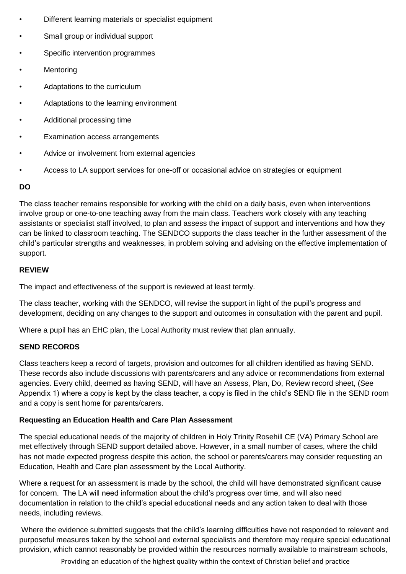- Different learning materials or specialist equipment
- Small group or individual support
- Specific intervention programmes
- **Mentoring**
- Adaptations to the curriculum
- Adaptations to the learning environment
- Additional processing time
- Examination access arrangements
- Advice or involvement from external agencies
- Access to LA support services for one-off or occasional advice on strategies or equipment

# **DO**

The class teacher remains responsible for working with the child on a daily basis, even when interventions involve group or one-to-one teaching away from the main class. Teachers work closely with any teaching assistants or specialist staff involved, to plan and assess the impact of support and interventions and how they can be linked to classroom teaching. The SENDCO supports the class teacher in the further assessment of the child's particular strengths and weaknesses, in problem solving and advising on the effective implementation of support.

# **REVIEW**

The impact and effectiveness of the support is reviewed at least termly.

The class teacher, working with the SENDCO, will revise the support in light of the pupil's progress and development, deciding on any changes to the support and outcomes in consultation with the parent and pupil.

Where a pupil has an EHC plan, the Local Authority must review that plan annually.

#### **SEND RECORDS**

Class teachers keep a record of targets, provision and outcomes for all children identified as having SEND. These records also include discussions with parents/carers and any advice or recommendations from external agencies. Every child, deemed as having SEND, will have an Assess, Plan, Do, Review record sheet, (See Appendix 1) where a copy is kept by the class teacher, a copy is filed in the child's SEND file in the SEND room and a copy is sent home for parents/carers.

#### **Requesting an Education Health and Care Plan Assessment**

The special educational needs of the majority of children in Holy Trinity Rosehill CE (VA) Primary School are met effectively through SEND support detailed above. However, in a small number of cases, where the child has not made expected progress despite this action, the school or parents/carers may consider requesting an Education, Health and Care plan assessment by the Local Authority.

Where a request for an assessment is made by the school, the child will have demonstrated significant cause for concern. The LA will need information about the child's progress over time, and will also need documentation in relation to the child's special educational needs and any action taken to deal with those needs, including reviews.

Where the evidence submitted suggests that the child's learning difficulties have not responded to relevant and purposeful measures taken by the school and external specialists and therefore may require special educational provision, which cannot reasonably be provided within the resources normally available to mainstream schools,

Providing an education of the highest quality within the context of Christian belief and practice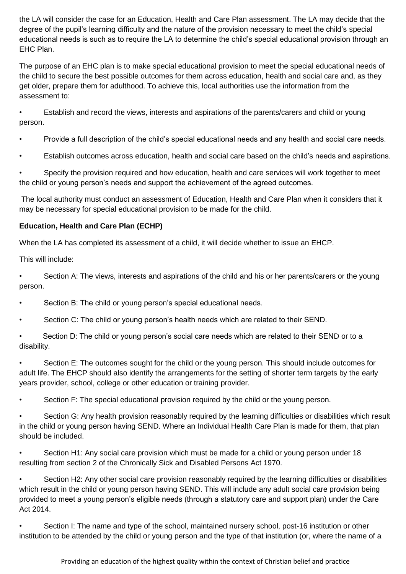the LA will consider the case for an Education, Health and Care Plan assessment. The LA may decide that the degree of the pupil's learning difficulty and the nature of the provision necessary to meet the child's special educational needs is such as to require the LA to determine the child's special educational provision through an EHC Plan.

The purpose of an EHC plan is to make special educational provision to meet the special educational needs of the child to secure the best possible outcomes for them across education, health and social care and, as they get older, prepare them for adulthood. To achieve this, local authorities use the information from the assessment to:

• Establish and record the views, interests and aspirations of the parents/carers and child or young person.

- Provide a full description of the child's special educational needs and any health and social care needs.
- Establish outcomes across education, health and social care based on the child's needs and aspirations.

Specify the provision required and how education, health and care services will work together to meet the child or young person's needs and support the achievement of the agreed outcomes.

The local authority must conduct an assessment of Education, Health and Care Plan when it considers that it may be necessary for special educational provision to be made for the child.

# **Education, Health and Care Plan (ECHP)**

When the LA has completed its assessment of a child, it will decide whether to issue an EHCP.

This will include:

• Section A: The views, interests and aspirations of the child and his or her parents/carers or the young person.

- Section B: The child or young person's special educational needs.
- Section C: The child or young person's health needs which are related to their SEND.
- Section D: The child or young person's social care needs which are related to their SEND or to a disability.

• Section E: The outcomes sought for the child or the young person. This should include outcomes for adult life. The EHCP should also identify the arrangements for the setting of shorter term targets by the early years provider, school, college or other education or training provider.

Section F: The special educational provision required by the child or the young person.

Section G: Any health provision reasonably required by the learning difficulties or disabilities which result in the child or young person having SEND. Where an Individual Health Care Plan is made for them, that plan should be included.

• Section H1: Any social care provision which must be made for a child or young person under 18 resulting from section 2 of the Chronically Sick and Disabled Persons Act 1970.

Section H2: Any other social care provision reasonably required by the learning difficulties or disabilities which result in the child or young person having SEND. This will include any adult social care provision being provided to meet a young person's eligible needs (through a statutory care and support plan) under the Care Act 2014.

• Section I: The name and type of the school, maintained nursery school, post-16 institution or other institution to be attended by the child or young person and the type of that institution (or, where the name of a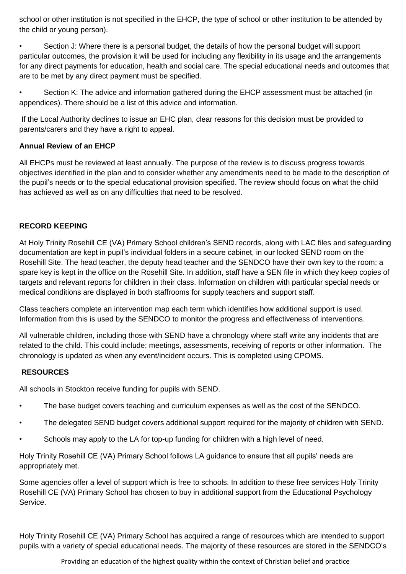school or other institution is not specified in the EHCP, the type of school or other institution to be attended by the child or young person).

Section J: Where there is a personal budget, the details of how the personal budget will support particular outcomes, the provision it will be used for including any flexibility in its usage and the arrangements for any direct payments for education, health and social care. The special educational needs and outcomes that are to be met by any direct payment must be specified.

• Section K: The advice and information gathered during the EHCP assessment must be attached (in appendices). There should be a list of this advice and information.

If the Local Authority declines to issue an EHC plan, clear reasons for this decision must be provided to parents/carers and they have a right to appeal.

# **Annual Review of an EHCP**

All EHCPs must be reviewed at least annually. The purpose of the review is to discuss progress towards objectives identified in the plan and to consider whether any amendments need to be made to the description of the pupil's needs or to the special educational provision specified. The review should focus on what the child has achieved as well as on any difficulties that need to be resolved.

# **RECORD KEEPING**

At Holy Trinity Rosehill CE (VA) Primary School children's SEND records, along with LAC files and safeguarding documentation are kept in pupil's individual folders in a secure cabinet, in our locked SEND room on the Rosehill Site. The head teacher, the deputy head teacher and the SENDCO have their own key to the room; a spare key is kept in the office on the Rosehill Site. In addition, staff have a SEN file in which they keep copies of targets and relevant reports for children in their class. Information on children with particular special needs or medical conditions are displayed in both staffrooms for supply teachers and support staff.

Class teachers complete an intervention map each term which identifies how additional support is used. Information from this is used by the SENDCO to monitor the progress and effectiveness of interventions.

All vulnerable children, including those with SEND have a chronology where staff write any incidents that are related to the child. This could include; meetings, assessments, receiving of reports or other information. The chronology is updated as when any event/incident occurs. This is completed using CPOMS.

#### **RESOURCES**

All schools in Stockton receive funding for pupils with SEND.

- The base budget covers teaching and curriculum expenses as well as the cost of the SENDCO.
- The delegated SEND budget covers additional support required for the majority of children with SEND.
- Schools may apply to the LA for top-up funding for children with a high level of need.

Holy Trinity Rosehill CE (VA) Primary School follows LA guidance to ensure that all pupils' needs are appropriately met.

Some agencies offer a level of support which is free to schools. In addition to these free services Holy Trinity Rosehill CE (VA) Primary School has chosen to buy in additional support from the Educational Psychology Service.

Holy Trinity Rosehill CE (VA) Primary School has acquired a range of resources which are intended to support pupils with a variety of special educational needs. The majority of these resources are stored in the SENDCO's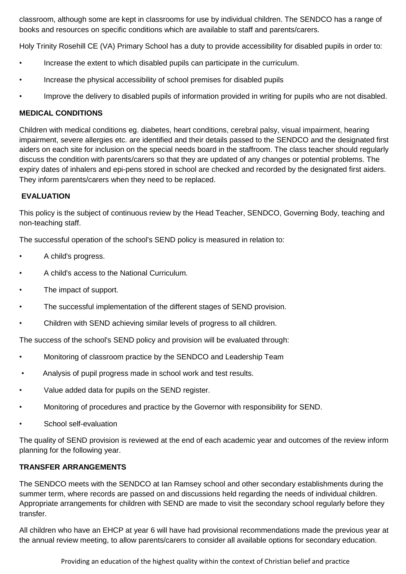classroom, although some are kept in classrooms for use by individual children. The SENDCO has a range of books and resources on specific conditions which are available to staff and parents/carers.

Holy Trinity Rosehill CE (VA) Primary School has a duty to provide accessibility for disabled pupils in order to:

- Increase the extent to which disabled pupils can participate in the curriculum.
- Increase the physical accessibility of school premises for disabled pupils
- Improve the delivery to disabled pupils of information provided in writing for pupils who are not disabled.

#### **MEDICAL CONDITIONS**

Children with medical conditions eg. diabetes, heart conditions, cerebral palsy, visual impairment, hearing impairment, severe allergies etc. are identified and their details passed to the SENDCO and the designated first aiders on each site for inclusion on the special needs board in the staffroom. The class teacher should regularly discuss the condition with parents/carers so that they are updated of any changes or potential problems. The expiry dates of inhalers and epi-pens stored in school are checked and recorded by the designated first aiders. They inform parents/carers when they need to be replaced.

#### **EVALUATION**

This policy is the subject of continuous review by the Head Teacher, SENDCO, Governing Body, teaching and non-teaching staff.

The successful operation of the school's SEND policy is measured in relation to:

- A child's progress.
- A child's access to the National Curriculum.
- The impact of support.
- The successful implementation of the different stages of SEND provision.
- Children with SEND achieving similar levels of progress to all children.

The success of the school's SEND policy and provision will be evaluated through:

- Monitoring of classroom practice by the SENDCO and Leadership Team
- Analysis of pupil progress made in school work and test results.
- Value added data for pupils on the SEND register.
- Monitoring of procedures and practice by the Governor with responsibility for SEND.
- School self-evaluation

The quality of SEND provision is reviewed at the end of each academic year and outcomes of the review inform planning for the following year.

#### **TRANSFER ARRANGEMENTS**

The SENDCO meets with the SENDCO at Ian Ramsey school and other secondary establishments during the summer term, where records are passed on and discussions held regarding the needs of individual children. Appropriate arrangements for children with SEND are made to visit the secondary school regularly before they transfer.

All children who have an EHCP at year 6 will have had provisional recommendations made the previous year at the annual review meeting, to allow parents/carers to consider all available options for secondary education.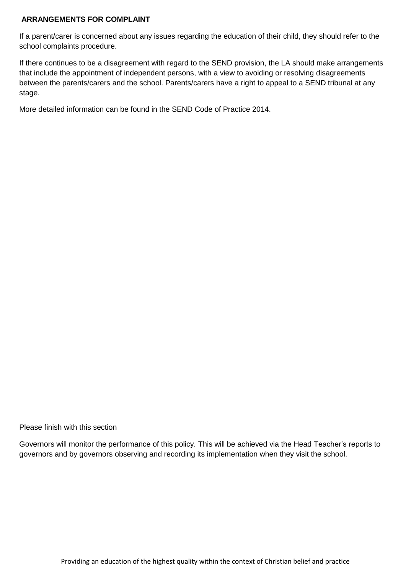#### **ARRANGEMENTS FOR COMPLAINT**

If a parent/carer is concerned about any issues regarding the education of their child, they should refer to the school complaints procedure.

If there continues to be a disagreement with regard to the SEND provision, the LA should make arrangements that include the appointment of independent persons, with a view to avoiding or resolving disagreements between the parents/carers and the school. Parents/carers have a right to appeal to a SEND tribunal at any stage.

More detailed information can be found in the SEND Code of Practice 2014.

Please finish with this section

Governors will monitor the performance of this policy. This will be achieved via the Head Teacher's reports to governors and by governors observing and recording its implementation when they visit the school.